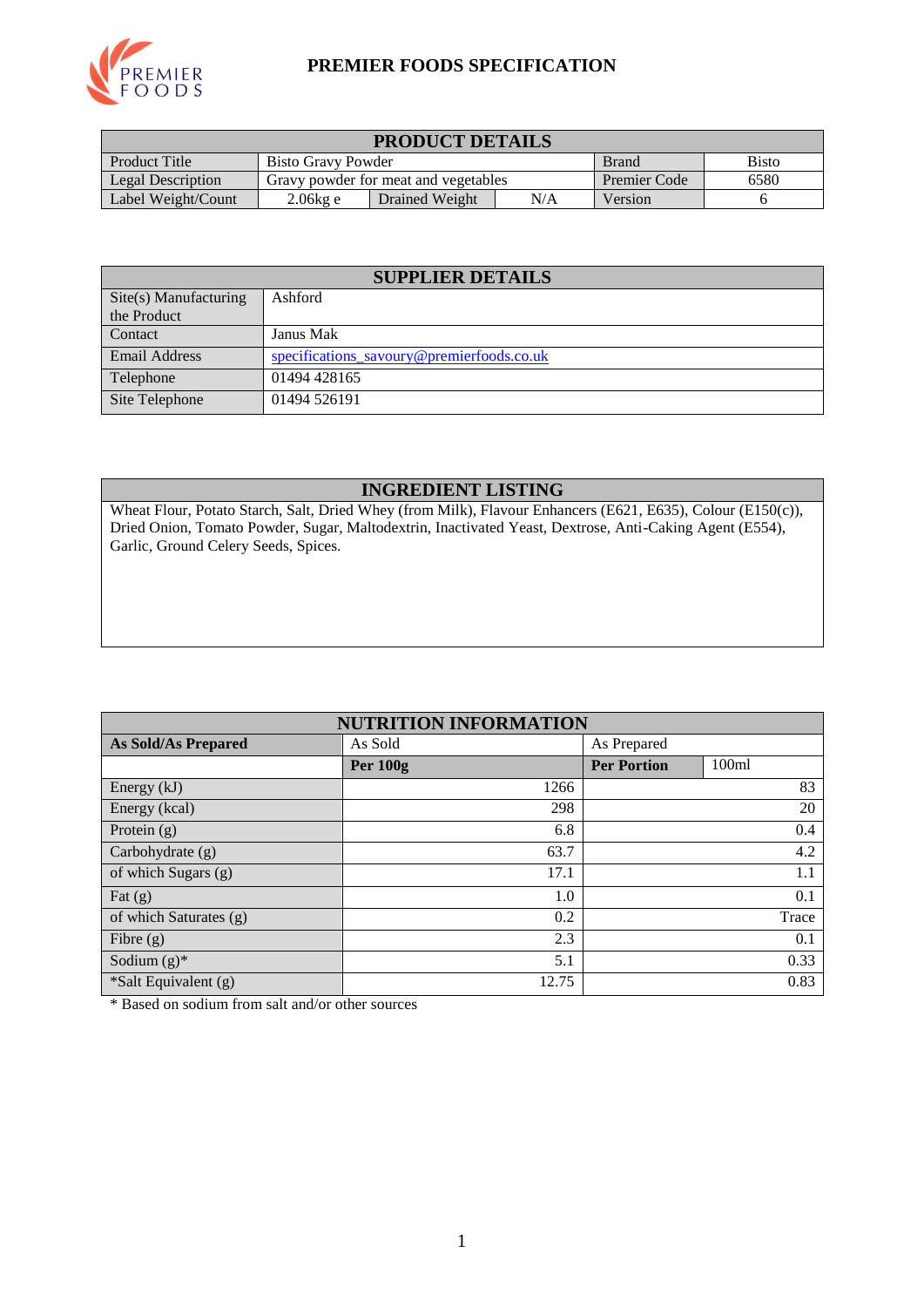

### **PREMIER FOODS SPECIFICATION**

| <b>PRODUCT DETAILS</b> |                                                    |                                      |                     |         |  |  |
|------------------------|----------------------------------------------------|--------------------------------------|---------------------|---------|--|--|
| Product Title          | <b>Bisto</b><br>Bisto Gravy Powder<br><b>Brand</b> |                                      |                     |         |  |  |
| Legal Description      |                                                    | Gravy powder for meat and vegetables | <b>Premier Code</b> | 6580    |  |  |
| Label Weight/Count     | 2.06kg e                                           | Drained Weight                       | N/A                 | Version |  |  |

| <b>SUPPLIER DETAILS</b>        |                                           |  |  |  |
|--------------------------------|-------------------------------------------|--|--|--|
| $\text{Site}(s)$ Manufacturing | Ashford                                   |  |  |  |
| the Product                    |                                           |  |  |  |
| Contact                        | Janus Mak                                 |  |  |  |
| Email Address                  | specifications savoury@premierfoods.co.uk |  |  |  |
| Telephone                      | 01494 428165                              |  |  |  |
| Site Telephone                 | 01494 526191                              |  |  |  |

### **INGREDIENT LISTING**

Wheat Flour, Potato Starch, Salt, Dried Whey (from Milk), Flavour Enhancers (E621, E635), Colour (E150(c)), Dried Onion, Tomato Powder, Sugar, Maltodextrin, Inactivated Yeast, Dextrose, Anti-Caking Agent (E554), Garlic, Ground Celery Seeds, Spices.

| <b>NUTRITION INFORMATION</b> |                 |                             |  |  |  |
|------------------------------|-----------------|-----------------------------|--|--|--|
| <b>As Sold/As Prepared</b>   | As Sold         | As Prepared                 |  |  |  |
|                              | <b>Per 100g</b> | <b>Per Portion</b><br>100ml |  |  |  |
| Energy (kJ)                  | 1266            | 83                          |  |  |  |
| Energy (kcal)                | 298             | 20                          |  |  |  |
| Protein $(g)$                | 6.8             | 0.4                         |  |  |  |
| Carbohydrate (g)             | 63.7            | 4.2                         |  |  |  |
| of which Sugars (g)          | 17.1            | 1.1                         |  |  |  |
| Fat $(g)$                    | 1.0             | 0.1                         |  |  |  |
| of which Saturates (g)       | 0.2             | Trace                       |  |  |  |
| Fibre $(g)$                  | 2.3             | 0.1                         |  |  |  |
| Sodium $(g)^*$               | 5.1             | 0.33                        |  |  |  |
| *Salt Equivalent (g)         | 12.75           | 0.83                        |  |  |  |

\* Based on sodium from salt and/or other sources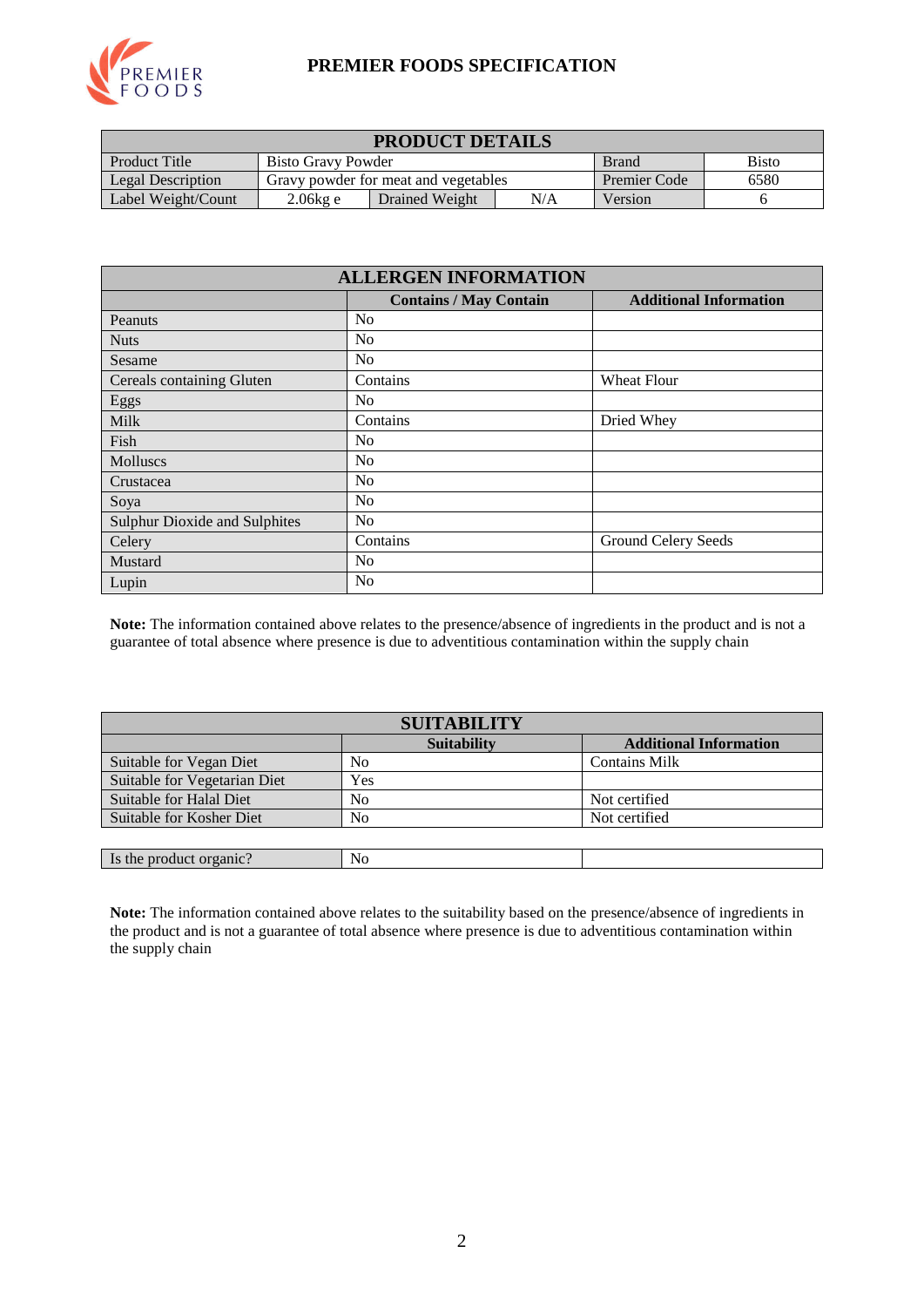

### **PREMIER FOODS SPECIFICATION**

| <b>PRODUCT DETAILS</b> |                                                    |                                      |                     |         |  |  |
|------------------------|----------------------------------------------------|--------------------------------------|---------------------|---------|--|--|
| <b>Product Title</b>   | <b>Bisto</b><br>Bisto Gravy Powder<br><b>Brand</b> |                                      |                     |         |  |  |
| Legal Description      |                                                    | Gravy powder for meat and vegetables | <b>Premier Code</b> | 6580    |  |  |
| Label Weight/Count     | N/A<br>2.06kg e<br>Drained Weight                  |                                      |                     | Version |  |  |

| <b>ALLERGEN INFORMATION</b>          |                               |                               |  |  |  |
|--------------------------------------|-------------------------------|-------------------------------|--|--|--|
|                                      | <b>Contains / May Contain</b> | <b>Additional Information</b> |  |  |  |
| Peanuts                              | N <sub>0</sub>                |                               |  |  |  |
| <b>Nuts</b>                          | N <sub>o</sub>                |                               |  |  |  |
| Sesame                               | N <sub>0</sub>                |                               |  |  |  |
| Cereals containing Gluten            | Contains                      | Wheat Flour                   |  |  |  |
| Eggs                                 | N <sub>0</sub>                |                               |  |  |  |
| <b>Milk</b>                          | Contains                      | Dried Whey                    |  |  |  |
| Fish                                 | N <sub>0</sub>                |                               |  |  |  |
| <b>Molluscs</b>                      | N <sub>0</sub>                |                               |  |  |  |
| Crustacea                            | N <sub>0</sub>                |                               |  |  |  |
| Soya                                 | N <sub>o</sub>                |                               |  |  |  |
| <b>Sulphur Dioxide and Sulphites</b> | N <sub>o</sub>                |                               |  |  |  |
| Celery                               | Contains                      | Ground Celery Seeds           |  |  |  |
| Mustard                              | N <sub>0</sub>                |                               |  |  |  |
| Lupin                                | N <sub>0</sub>                |                               |  |  |  |

**Note:** The information contained above relates to the presence/absence of ingredients in the product and is not a guarantee of total absence where presence is due to adventitious contamination within the supply chain

| <b>SUITABILITY</b>           |                    |                               |  |  |  |
|------------------------------|--------------------|-------------------------------|--|--|--|
|                              | <b>Suitability</b> | <b>Additional Information</b> |  |  |  |
| Suitable for Vegan Diet      | No                 | <b>Contains Milk</b>          |  |  |  |
| Suitable for Vegetarian Diet | Yes                |                               |  |  |  |
| Suitable for Halal Diet      | No                 | Not certified                 |  |  |  |
| Suitable for Kosher Diet     | No                 | Not certified                 |  |  |  |
|                              |                    |                               |  |  |  |
| Is the product organic?      | No                 |                               |  |  |  |

**Note:** The information contained above relates to the suitability based on the presence/absence of ingredients in the product and is not a guarantee of total absence where presence is due to adventitious contamination within the supply chain